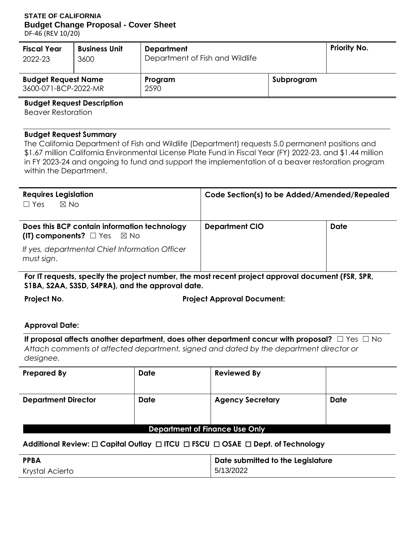### **STATE OF CALIFORNIA Budget Change Proposal - Cover Sheet**

DF-46 (REV 10/20)

| <b>Fiscal Year</b>                                 | <b>Business Unit</b> | <b>Department</b>               |            | <b>Priority No.</b> |
|----------------------------------------------------|----------------------|---------------------------------|------------|---------------------|
| 2022-23                                            | 3600                 | Department of Fish and Wildlife |            |                     |
| <b>Budget Request Name</b><br>3600-071-BCP-2022-MR |                      | Program<br>2590                 | Subprogram |                     |

#### **Budget Request Description**

Beaver Restoration

#### **Budget Request Summary**

 \$1.67 million California Environmental License Plate Fund in Fiscal Year (FY) 2022-23, and \$1.44 million The California Department of Fish and Wildlife (Department) requests 5.0 permanent positions and in FY 2023-24 and ongoing to fund and support the implementation of a beaver restoration program within the Department.

| <b>Requires Legislation</b><br>$\boxtimes$ No<br>$\Box$ Yes                                | Code Section(s) to be Added/Amended/Repealed |             |  |  |
|--------------------------------------------------------------------------------------------|----------------------------------------------|-------------|--|--|
| Does this BCP contain information technology<br>(IT) components? $\Box$ Yes $\boxtimes$ No | <b>Department CIO</b>                        | <b>Date</b> |  |  |
| If yes, departmental Chief Information Officer<br>must sign.                               |                                              |             |  |  |

**For IT requests, specify the project number, the most recent project approval document (FSR, SPR, S1BA, S2AA, S3SD, S4PRA), and the approval date.** 

**Project No. Project Approval Document:** 

#### **Approval Date:**

Approval Date:<br>If proposal affects another department, does other department concur with proposal? □ Yes □ No *Attach comments of affected department, signed and dated by the department director or designee.* 

| <b>Prepared By</b>             | <b>Date</b> | <b>Reviewed By</b>      |             |  |  |  |
|--------------------------------|-------------|-------------------------|-------------|--|--|--|
| <b>Department Director</b>     | <b>Date</b> | <b>Agency Secretary</b> | <b>Date</b> |  |  |  |
| Department of Finance Use Only |             |                         |             |  |  |  |

#### **Additional Review:** ☐ **Capital Outlay** ☐ **ITCU** ☐ **FSCU** ☐ **OSAE** ☐ **Dept. of Technology**

| <b>PPBA</b>     | Date submitted to the Legislature |
|-----------------|-----------------------------------|
| Krystal Acierto | 5/13/2022                         |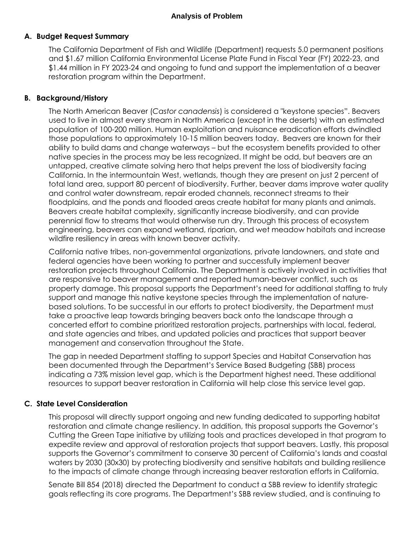#### **A. Budget Request Summary**

 and \$1.67 million California Environmental License Plate Fund in Fiscal Year (FY) 2022-23, and \$1.44 million in FY 2023-24 and ongoing to fund and support the implementation of a beaver The California Department of Fish and Wildlife (Department) requests 5.0 permanent positions restoration program within the Department.

### **B. Background/History**

 The North American Beaver (*Castor canadensis*) is considered a "keystone species". Beavers used to live in almost every stream in North America (except in the deserts) with an estimated those populations to approximately 10-15 million beavers today. Beavers are known for their ability to build dams and change waterways – but the ecosystem benefits provided to other native species in the process may be less recognized. It might be odd, but beavers are an untapped, creative climate solving hero that helps prevent the loss of biodiversity facing California. In the intermountain West, wetlands, though they are present on just 2 percent of total land area, support 80 percent of biodiversity. Further, beaver dams improve water quality and control water downstream, repair eroded channels, reconnect streams to their engineering, beavers can expand wetland, riparian, and wet meadow habitats and increase wildfire resiliency in areas with known beaver activity. population of 100-200 million. Human exploitation and nuisance eradication efforts dwindled floodplains, and the ponds and flooded areas create habitat for many plants and animals. Beavers create habitat complexity, significantly increase biodiversity, and can provide perennial flow to streams that would otherwise run dry. Through this process of ecosystem

 federal agencies have been working to partner and successfully implement beaver restoration projects throughout California. The Department is actively involved in activities that are responsive to beaver management and reported human-beaver conflict, such as property damage. This proposal supports the Department's need for additional staffing to truly support and manage this native keystone species through the implementation of nature- based solutions. To be successful in our efforts to protect biodiversity, the Department must take a proactive leap towards bringing beavers back onto the landscape through a concerted effort to combine prioritized restoration projects, partnerships with local, federal, California native tribes, non-governmental organizations, private landowners, and state and and state agencies and tribes, and updated policies and practices that support beaver management and conservation throughout the State.

 The gap in needed Department staffing to support Species and Habitat Conservation has been documented through the Department's Service Based Budgeting (SBB) process indicating a 73% mission level gap, which is the Department highest need. These additional resources to support beaver restoration in California will help close this service level gap.

#### **C. State Level Consideration**

 This proposal will directly support ongoing and new funding dedicated to supporting habitat restoration and climate change resiliency. In addition, this proposal supports the Governor's Cutting the Green Tape initiative by utilizing tools and practices developed in that program to expedite review and approval of restoration projects that support beavers. Lastly, this proposal supports the Governor's commitment to conserve 30 percent of California's lands and coastal waters by 2030 (30x30) by protecting biodiversity and sensitive habitats and building resilience to the impacts of climate change through increasing beaver restoration efforts in California.

 Senate Bill 854 (2018) directed the Department to conduct a SBB review to identify strategic goals reflecting its core programs. The Department's SBB review studied, and is continuing to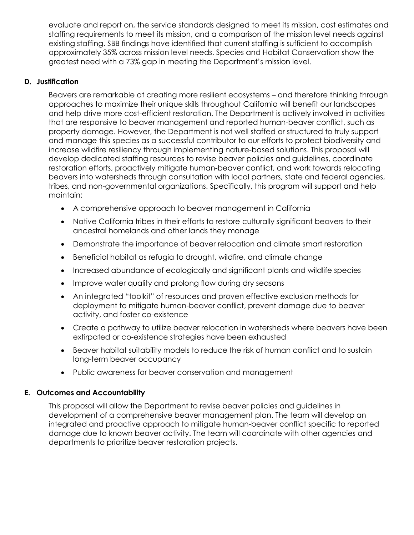staffing requirements to meet its mission, and a comparison of the mission level needs against approximately 35% across mission level needs. Species and Habitat Conservation show the evaluate and report on, the service standards designed to meet its mission, cost estimates and existing staffing. SBB findings have identified that current staffing is sufficient to accomplish greatest need with a 73% gap in meeting the Department's mission level.

### **D. Justification**

 approaches to maximize their unique skills throughout California will benefit our landscapes that are responsive to beaver management and reported human-beaver conflict, such as property damage. However, the Department is not well staffed or structured to truly support and manage this species as a successful contributor to our efforts to protect biodiversity and increase wildfire resiliency through implementing nature-based solutions. This proposal will develop dedicated staffing resources to revise beaver policies and guidelines, coordinate restoration efforts, proactively mitigate human-beaver conflict, and work towards relocating beavers into watersheds through consultation with local partners, state and federal agencies, tribes, and non-governmental organizations. Specifically, this program will support and help Beavers are remarkable at creating more resilient ecosystems – and therefore thinking through and help drive more cost-efficient restoration. The Department is actively involved in activities maintain:

- A comprehensive approach to beaver management in California
- Native California tribes in their efforts to restore culturally significant beavers to their ancestral homelands and other lands they manage
- Demonstrate the importance of beaver relocation and climate smart restoration
- Beneficial habitat as refugia to drought, wildfire, and climate change
- Increased abundance of ecologically and significant plants and wildlife species
- Improve water quality and prolong flow during dry seasons
- An integrated "toolkit" of resources and proven effective exclusion methods for activity, and foster co-existence deployment to mitigate human-beaver conflict, prevent damage due to beaver
- Create a pathway to utilize beaver relocation in watersheds where beavers have been extirpated or co-existence strategies have been exhausted
- Beaver habitat suitability models to reduce the risk of human conflict and to sustain long-term beaver occupancy
- Public awareness for beaver conservation and management

#### **E. Outcomes and Accountability**

 This proposal will allow the Department to revise beaver policies and guidelines in integrated and proactive approach to mitigate human-beaver conflict specific to reported damage due to known beaver activity. The team will coordinate with other agencies and departments to prioritize beaver restoration projects. development of a comprehensive beaver management plan. The team will develop an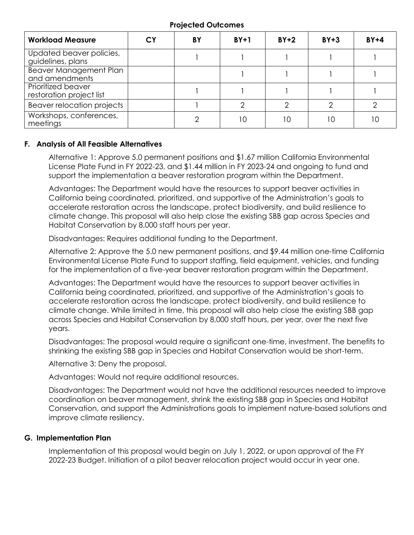| <b>Workload Measure</b>                         | СY | BY | $BY+1$ | $BY+2$ | $BY + 3$ | $BY+4$ |
|-------------------------------------------------|----|----|--------|--------|----------|--------|
| Updated beaver policies,<br>guidelines, plans   |    |    |        |        |          |        |
| <b>Beaver Management Plan</b><br>and amendments |    |    |        |        |          |        |
| Prioritized beaver<br>restoration project list  |    |    |        |        |          |        |
| Beaver relocation projects                      |    |    |        | ⌒      |          |        |
| Workshops, conferences,<br>meetings             |    |    | l O    | 10     |          |        |

#### **Projected Outcomes**

#### **F. Analysis of All Feasible Alternatives**

 Alternative 1: Approve 5.0 permanent positions and \$1.67 million California Environmental support the implementation a beaver restoration program within the Department. License Plate Fund in FY 2022-23, and \$1.44 million in FY 2023-24 and ongoing to fund and

 Advantages: The Department would have the resources to support beaver activities in California being coordinated, prioritized, and supportive of the Administration's goals to accelerate restoration across the landscape, protect biodiversity, and build resilience to climate change. This proposal will also help close the existing SBB gap across Species and Habitat Conservation by 8,000 staff hours per year.

Disadvantages: Requires additional funding to the Department.

 Alternative 2: Approve the 5.0 new permanent positions, and \$9.44 million one-time California Environmental License Plate Fund to support staffing, field equipment, vehicles, and funding for the implementation of a five-year beaver restoration program within the Department.

 Advantages: The Department would have the resources to support beaver activities in California being coordinated, prioritized, and supportive of the Administration's goals to accelerate restoration across the landscape, protect biodiversity, and build resilience to climate change. While limited in time, this proposal will also help close the existing SBB gap across Species and Habitat Conservation by 8,000 staff hours, per year, over the next five years.

 shrinking the existing SBB gap in Species and Habitat Conservation would be short-term. Disadvantages: The proposal would require a significant one-time, investment. The benefits to

Alternative 3: Deny the proposal.

Advantages: Would not require additional resources.

 Disadvantages: The Department would not have the additional resources needed to improve coordination on beaver management, shrink the existing SBB gap in Species and Habitat Conservation, and support the Administrations goals to implement nature-based solutions and improve climate resiliency.

#### **G. Implementation Plan**

 Implementation of this proposal would begin on July 1, 2022, or upon approval of the FY 2022-23 Budget. Initiation of a pilot beaver relocation project would occur in year one.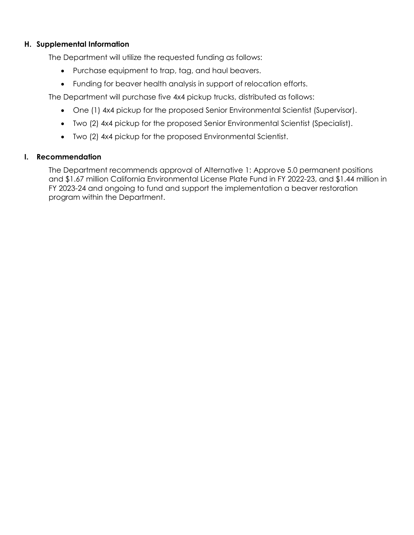### **H. Supplemental Information**

The Department will utilize the requested funding as follows:

- Purchase equipment to trap, tag, and haul beavers.
- Funding for beaver health analysis in support of relocation efforts.

The Department will purchase five 4x4 pickup trucks, distributed as follows:

- One (1) 4x4 pickup for the proposed Senior Environmental Scientist (Supervisor).
- Two (2) 4x4 pickup for the proposed Senior Environmental Scientist (Specialist).
- Two (2) 4x4 pickup for the proposed Environmental Scientist.

#### **I. Recommendation**

 The Department recommends approval of Alternative 1: Approve 5.0 permanent positions FY 2023-24 and ongoing to fund and support the implementation a beaver restoration and \$1.67 million California Environmental License Plate Fund in FY 2022-23, and \$1.44 million in program within the Department.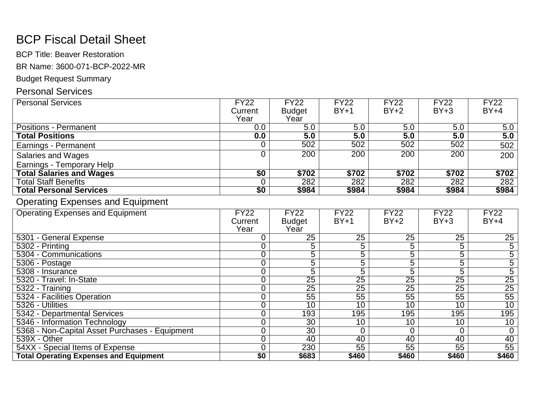# BCP Fiscal Detail Sheet

BCP Title: Beaver Restoration

BR Name: 3600-071-BCP-2022-MR

### Budget Request Summary

## Personal Services

| <b>Personal Services</b>        | <b>FY22</b> | <b>FY22</b>   | <b>FY22</b>      | <b>FY22</b> | <b>FY22</b> | $\overline{FY22}$ |
|---------------------------------|-------------|---------------|------------------|-------------|-------------|-------------------|
|                                 | Current     | <b>Budget</b> | $BY+1$           | $BY+2$      | $BY+3$      | $BY+4$            |
|                                 | Year        | Year          |                  |             |             |                   |
| <b>Positions - Permanent</b>    | 0.0         | 5.0           | $\overline{5.0}$ | 5.0         | 5.0         | 5.0               |
| <b>Total Positions</b>          | 0.0         | 5.0           | 5.0              | 5.0         | 5.0         | 5.0               |
| Earnings - Permanent            |             | 502           | 502              | 502         | 502         | 502               |
| Salaries and Wages              |             | 200           | 200              | 200         | 200         | 200               |
| Earnings - Temporary Help       |             |               |                  |             |             |                   |
| <b>Total Salaries and Wages</b> | \$0         | \$702         | \$702            | \$702       | \$702       | \$702             |
| <b>Total Staff Benefits</b>     |             | 282           | 282              | 282         | 282         | 282               |
| <b>Total Personal Services</b>  | \$0         | \$984         | \$984            | \$984       | \$984       | \$984             |

## Operating Expenses and Equipment

| <b>Operating Expenses and Equipment</b>        | <b>FY22</b> | <b>FY22</b>     | <b>FY22</b>     | <b>FY22</b>     | <b>FY22</b>     | <b>FY22</b>     |
|------------------------------------------------|-------------|-----------------|-----------------|-----------------|-----------------|-----------------|
|                                                | Current     | <b>Budget</b>   | $BY+1$          | $BY+2$          | $BY+3$          | $BY+4$          |
|                                                | Year        | Year            |                 |                 |                 |                 |
| 5301 - General Expense                         |             | 25              | 25              | 25              | $2\overline{5}$ | 25              |
| 5302 - Printing                                |             | 5               | 5               | 5               | 5               | $\overline{5}$  |
| 5304 - Communications                          |             | 5               | 5               | 5               | 5               | 5               |
| 5306 - Postage                                 |             | 5               | 5               | 5               | 5               | 5               |
| 5308 - Insurance                               |             | 5               | 5               | 5               | 5               | 5               |
| 5320 - Travel: In-State                        |             | $\overline{25}$ | $\overline{25}$ | $\overline{25}$ | $\overline{25}$ | $\overline{25}$ |
| 5322 - Training                                |             | 25              | $\overline{25}$ | 25              | $\overline{25}$ | $\overline{25}$ |
| 5324 - Facilities Operation                    |             | 55              | 55              | 55              | 55              | $\overline{55}$ |
| 5326 - Utilities                               |             | 10              | 10              | 10              | 10              | 10              |
| 5342 - Departmental Services                   |             | 193             | 195             | 195             | 195             | 195             |
| 5346 - Information Technology                  |             | 30              | 10              | 10              | 10              | 10              |
| 5368 - Non-Capital Asset Purchases - Equipment |             | $\overline{30}$ |                 |                 |                 |                 |
| 539X - Other                                   |             | 40              | 40              | 40              | 40              | 40              |
| 54XX - Special Items of Expense                |             | 230             | 55              | 55              | 55              | $\overline{55}$ |
| <b>Total Operating Expenses and Equipment</b>  | \$0         | \$683           | \$460           | \$460           | \$460           | \$460           |